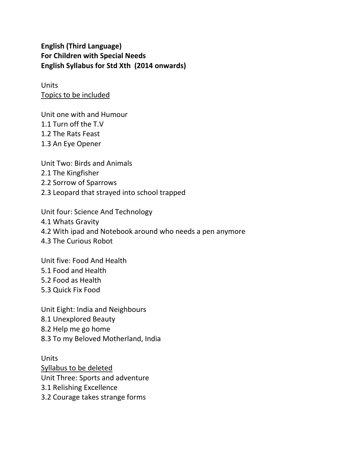**English (Third Language) For Children with Special Needs English Syllabus for Std Xth (2014 onwards)** 

Units Topics to be included

Unit one with and Humour 1.1 Turn off the T.V 1.2 The Rats Feast 1.3 An Eye Opener

Unit Two: Birds and Animals 2.1 The Kingfisher 2.2 Sorrow of Sparrows 2.3 Leopard that strayed into school trapped

Unit four: Science And Technology 4.1 Whats Gravity 4.2 With ipad and Notebook around who needs a pen anymore 4.3 The Curious Robot

Unit five: Food And Health

5.1 Food and Health

5.2 Food as Health

5.3 Quick Fix Food

Unit Eight: India and Neighbours

8.1 Unexplored Beauty

8.2 Help me go home

8.3 To my Beloved Motherland, India

Units Syllabus to be deleted Unit Three: Sports and adventure 3.1 Relishing Excellence

3.2 Courage takes strange forms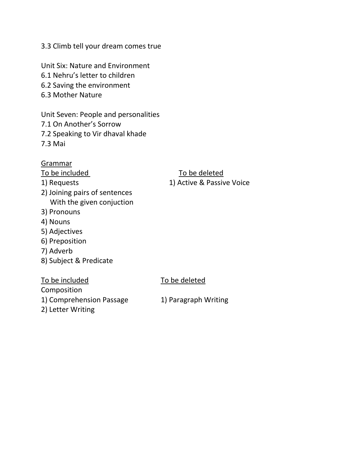3.3 Climb tell your dream comes true

Unit Six: Nature and Environment

- 6.1 Nehru's letter to children
- 6.2 Saving the environment
- 6.3 Mother Nature

Unit Seven: People and personalities

- 7.1 On Another's Sorrow
- 7.2 Speaking to Vir dhaval khade

7.3 Mai

#### Grammar

- 2) Joining pairs of sentences With the given conjuction
- 3) Pronouns
- 4) Nouns
- 5) Adjectives
- 6) Preposition
- 7) Adverb
- 8) Subject & Predicate

To be included To be deleted

Composition

1) Comprehension Passage 1) Paragraph Writing

2) Letter Writing

### To be included To be deleted 1) Requests 1) Active & Passive Voice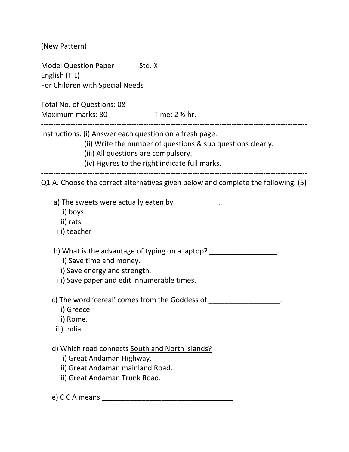(New Pattern) Model Question Paper Std. X English (T.L) For Children with Special Needs Total No. of Questions: 08 Maximum marks: 80 Time: 2 % hr. ------------------------------------------------------------------------------------------------------------- Instructions: (i) Answer each question on a fresh page. (ii) Write the number of questions & sub questions clearly. (iii) All questions are compulsory. (iv) Figures to the right indicate full marks. ------------------------------------------------------------------------------------------------------------- Q1 A. Choose the correct alternatives given below and complete the following. (5) a) The sweets were actually eaten by  $\qquad \qquad$ . i) boys ii) rats iii) teacher b) What is the advantage of typing on a laptop? i) Save time and money. ii) Save energy and strength. iii) Save paper and edit innumerable times. c) The word 'cereal' comes from the Goddess of  $\Box$  i) Greece. ii) Rome. iii) India. d) Which road connects South and North islands? i) Great Andaman Highway. ii) Great Andaman mainland Road. iii) Great Andaman Trunk Road. e) C C A means \_\_\_\_\_\_\_\_\_\_\_\_\_\_\_\_\_\_\_\_\_\_\_\_\_\_\_\_\_\_\_\_\_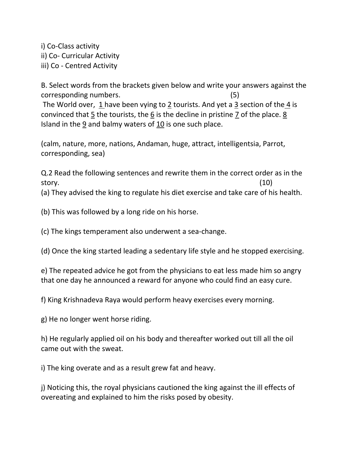i) Co-Class activity ii) Co- Curricular Activity iii) Co - Centred Activity

B. Select words from the brackets given below and write your answers against the corresponding numbers. (5)

 The World over, 1 have been vying to 2 tourists. And yet a 3 section of the 4 is convinced that  $\frac{5}{2}$  the tourists, the  $\frac{6}{2}$  is the decline in pristine 7 of the place. 8 Island in the 9 and balmy waters of 10 is one such place.

(calm, nature, more, nations, Andaman, huge, attract, intelligentsia, Parrot, corresponding, sea)

Q.2 Read the following sentences and rewrite them in the correct order as in the story. (10)

(a) They advised the king to regulate his diet exercise and take care of his health.

(b) This was followed by a long ride on his horse.

(c) The kings temperament also underwent a sea-change.

(d) Once the king started leading a sedentary life style and he stopped exercising.

e) The repeated advice he got from the physicians to eat less made him so angry that one day he announced a reward for anyone who could find an easy cure.

f) King Krishnadeva Raya would perform heavy exercises every morning.

g) He no longer went horse riding.

h) He regularly applied oil on his body and thereafter worked out till all the oil came out with the sweat.

i) The king overate and as a result grew fat and heavy.

j) Noticing this, the royal physicians cautioned the king against the ill effects of overeating and explained to him the risks posed by obesity.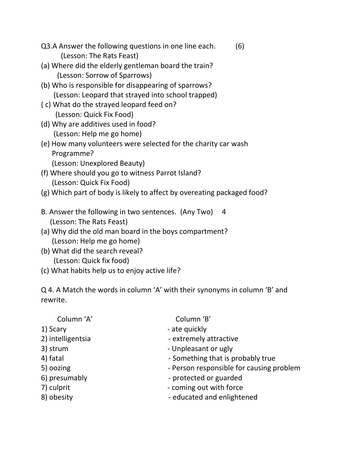- Q3.A Answer the following questions in one line each. (6) (Lesson: The Rats Feast)
- (a) Where did the elderly gentleman board the train? (Lesson: Sorrow of Sparrows)
- (b) Who is responsible for disappearing of sparrows? (Lesson: Leopard that strayed into school trapped)
- ( c) What do the strayed leopard feed on? (Lesson: Quick Fix Food)
- (d) Why are additives used in food? (Lesson: Help me go home)
- (e) How many volunteers were selected for the charity car wash Programme? (Lesson: Unexplored Beauty)
- (f) Where should you go to witness Parrot Island? (Lesson: Quick Fix Food)
- (g) Which part of body is likely to affect by overeating packaged food?
- B. Answer the following in two sentences. (Any Two) 4 (Lesson: The Rats Feast)
- (a) Why did the old man board in the boys compartment? (Lesson: Help me go home)
- (b) What did the search reveal? (Lesson: Quick fix food)
- (c) What habits help us to enjoy active life?

Q 4. A Match the words in column 'A' with their synonyms in column 'B' and rewrite.

| Column 'B'                               |
|------------------------------------------|
| - ate quickly                            |
| - extremely attractive                   |
| - Unpleasant or ugly                     |
| - Something that is probably true        |
| - Person responsible for causing problem |
| - protected or guarded                   |
| - coming out with force                  |
| - educated and enlightened               |
|                                          |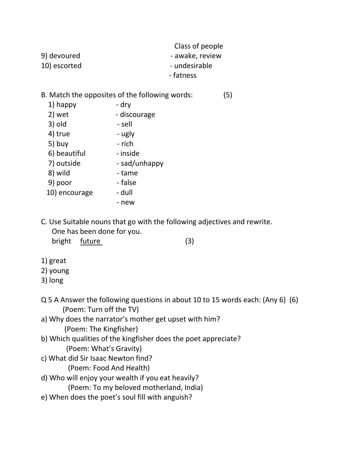|              | Class of people |
|--------------|-----------------|
| 9) devoured  | - awake, review |
| 10) escorted | - undesirable   |
|              | - fatness       |

# B. Match the opposites of the following words: (5)

| 1) happy      | - dry         |
|---------------|---------------|
| 2) wet        | - discourage  |
| 3) old        | - sell        |
| 4) true       | - ugly        |
| 5) buy        | - rich        |
| 6) beautiful  | - inside      |
| 7) outside    | - sad/unhappy |
| 8) wild       | - tame        |
| 9) poor       | - false       |
| 10) encourage | - dull        |
|               | - new         |

C. Use Suitable nouns that go with the following adjectives and rewrite. One has been done for you.

bright future (3)

1) great

#### 2) young

3) long

- Q 5 A Answer the following questions in about 10 to 15 words each: (Any 6) (6) (Poem: Turn off the TV)
- a) Why does the narrator's mother get upset with him? (Poem: The Kingfisher)
- b) Which qualities of the kingfisher does the poet appreciate? (Poem: What's Gravity)
- c) What did Sir Isaac Newton find?

(Poem: Food And Health)

d) Who will enjoy your wealth if you eat heavily?

(Poem: To my beloved motherland, India)

e) When does the poet's soul fill with anguish?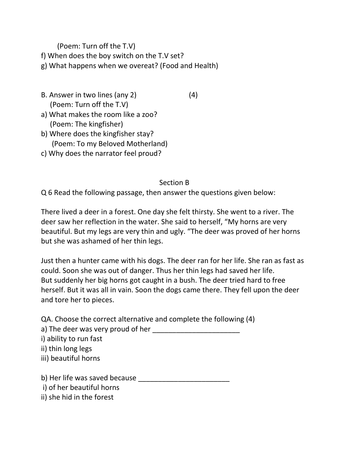(Poem: Turn off the T.V) f) When does the boy switch on the T.V set? g) What happens when we overeat? (Food and Health)

- B. Answer in two lines (any 2) (4) (Poem: Turn off the T.V)
- 
- a) What makes the room like a zoo? (Poem: The kingfisher)
- b) Where does the kingfisher stay? (Poem: To my Beloved Motherland)
- c) Why does the narrator feel proud?

# Section B

Q 6 Read the following passage, then answer the questions given below:

There lived a deer in a forest. One day she felt thirsty. She went to a river. The deer saw her reflection in the water. She said to herself, "My horns are very beautiful. But my legs are very thin and ugly. "The deer was proved of her horns but she was ashamed of her thin legs.

Just then a hunter came with his dogs. The deer ran for her life. She ran as fast as could. Soon she was out of danger. Thus her thin legs had saved her life. But suddenly her big horns got caught in a bush. The deer tried hard to free herself. But it was all in vain. Soon the dogs came there. They fell upon the deer and tore her to pieces.

QA. Choose the correct alternative and complete the following (4) a) The deer was very proud of her i) ability to run fast ii) thin long legs iii) beautiful horns b) Her life was saved because i) of her beautiful horns

ii) she hid in the forest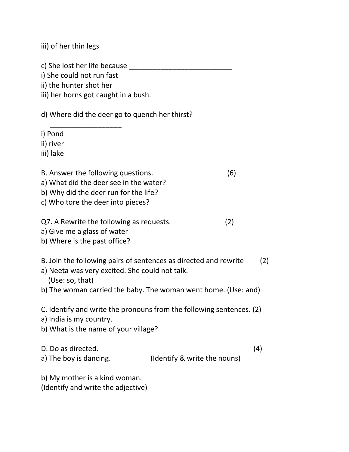iii) of her thin legs

c) She lost her life because

i) She could not run fast

 $\overline{\phantom{a}}$  ,  $\overline{\phantom{a}}$  ,  $\overline{\phantom{a}}$  ,  $\overline{\phantom{a}}$  ,  $\overline{\phantom{a}}$  ,  $\overline{\phantom{a}}$  ,  $\overline{\phantom{a}}$  ,  $\overline{\phantom{a}}$  ,  $\overline{\phantom{a}}$  ,  $\overline{\phantom{a}}$  ,  $\overline{\phantom{a}}$  ,  $\overline{\phantom{a}}$  ,  $\overline{\phantom{a}}$  ,  $\overline{\phantom{a}}$  ,  $\overline{\phantom{a}}$  ,  $\overline{\phantom{a}}$ 

ii) the hunter shot her

iii) her horns got caught in a bush.

d) Where did the deer go to quench her thirst?

i) Pond

ii) river

iii) lake

B. Answer the following questions. (6)

a) What did the deer see in the water?

b) Why did the deer run for the life?

c) Who tore the deer into pieces?

Q7. A Rewrite the following as requests. (2)

a) Give me a glass of water

b) Where is the past office?

- B. Join the following pairs of sentences as directed and rewrite (2)
- a) Neeta was very excited. She could not talk.

(Use: so, that)

b) The woman carried the baby. The woman went home. (Use: and)

C. Identify and write the pronouns from the following sentences. (2)

a) India is my country.

b) What is the name of your village?

D. Do as directed. (4)

a) The boy is dancing. (Identify & write the nouns)

b) My mother is a kind woman.

(Identify and write the adjective)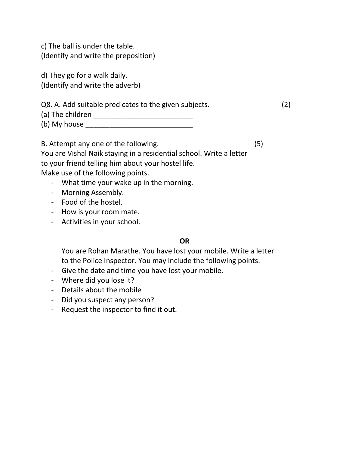c) The ball is under the table. (Identify and write the preposition)

d) They go for a walk daily. (Identify and write the adverb)

| Q8. A. Add suitable predicates to the given subjects. |  |
|-------------------------------------------------------|--|
| (a) The children                                      |  |
| (b) My house                                          |  |

B. Attempt any one of the following. (5)

You are Vishal Naik staying in a residential school. Write a letter to your friend telling him about your hostel life. Make use of the following points.

- What time your wake up in the morning.
- Morning Assembly.
- Food of the hostel.
- How is your room mate.
- Activities in your school.

#### **OR**

You are Rohan Marathe. You have lost your mobile. Write a letter to the Police Inspector. You may include the following points.

- Give the date and time you have lost your mobile.
- Where did you lose it?
- Details about the mobile
- Did you suspect any person?
- Request the inspector to find it out.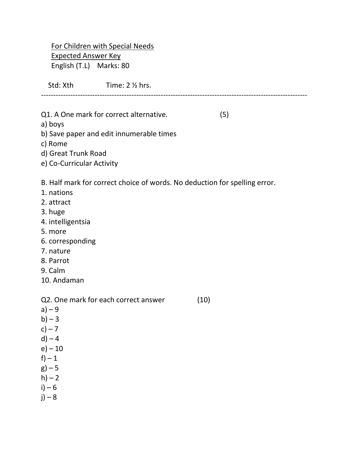For Children with Special Needs Expected Answer Key English (T.L) Marks: 80

Std: Xth Time: 2 1/2 hrs.

Q1. A One mark for correct alternative. (5)

a) boys

b) Save paper and edit innumerable times

c) Rome

d) Great Trunk Road

e) Co-Curricular Activity

B. Half mark for correct choice of words. No deduction for spelling error.

-------------------------------------------------------------------------------------------------------------

- 1. nations
- 2. attract
- 3. huge
- 4. intelligentsia
- 5. more
- 6. corresponding
- 7. nature
- 8. Parrot
- 9. Calm
- 10. Andaman

Q2. One mark for each correct answer (10)  $a) - 9$  $b$ ) – 3  $c$ ) – 7  $d$ ) – 4  $e) - 10$  $f$ ) – 1  $g$ ) – 5  $h$ ) – 2  $i) - 6$  $j) - 8$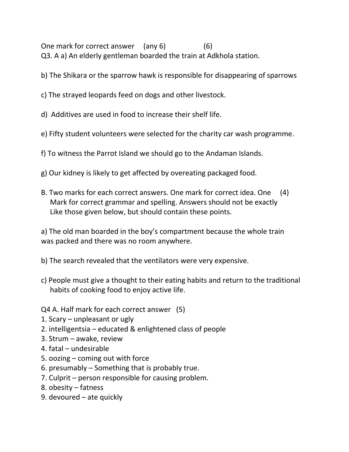One mark for correct answer (any 6) (6) Q3. A a) An elderly gentleman boarded the train at Adkhola station.

- b) The Shikara or the sparrow hawk is responsible for disappearing of sparrows
- c) The strayed leopards feed on dogs and other livestock.
- d) Additives are used in food to increase their shelf life.
- e) Fifty student volunteers were selected for the charity car wash programme.
- f) To witness the Parrot Island we should go to the Andaman Islands.
- g) Our kidney is likely to get affected by overeating packaged food.
- B. Two marks for each correct answers. One mark for correct idea. One (4) Mark for correct grammar and spelling. Answers should not be exactly Like those given below, but should contain these points.

a) The old man boarded in the boy's compartment because the whole train was packed and there was no room anywhere.

- b) The search revealed that the ventilators were very expensive.
- c) People must give a thought to their eating habits and return to the traditional habits of cooking food to enjoy active life.
- Q4 A. Half mark for each correct answer (5)
- 1. Scary unpleasant or ugly
- 2. intelligentsia educated & enlightened class of people
- 3. Strum awake, review
- 4. fatal undesirable
- 5. oozing coming out with force
- 6. presumably Something that is probably true.
- 7. Culprit person responsible for causing problem.
- 8. obesity fatness
- 9. devoured ate quickly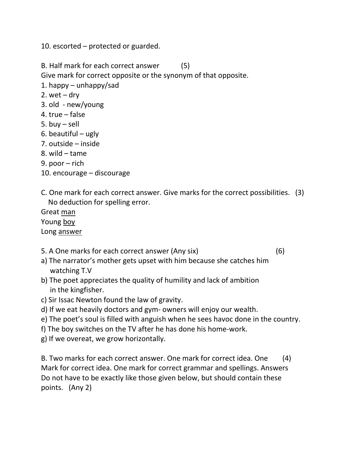10. escorted – protected or guarded.

B. Half mark for each correct answer (5)

Give mark for correct opposite or the synonym of that opposite.

- 1. happy unhappy/sad
- 2. wet  $-$  dry
- 3. old new/young
- 4. true false
- 5. buy sell
- 6. beautiful ugly
- 7. outside inside
- 8. wild tame
- 9. poor rich
- 10. encourage discourage
- C. One mark for each correct answer. Give marks for the correct possibilities. (3) No deduction for spelling error.

Great man Young boy

Long answer

5. A One marks for each correct answer (Any six) (6)

- a) The narrator's mother gets upset with him because she catches him watching T.V
- b) The poet appreciates the quality of humility and lack of ambition in the kingfisher.
- c) Sir Issac Newton found the law of gravity.
- d) If we eat heavily doctors and gym- owners will enjoy our wealth.
- e) The poet's soul is filled with anguish when he sees havoc done in the country.
- f) The boy switches on the TV after he has done his home-work.
- g) If we overeat, we grow horizontally.

B. Two marks for each correct answer. One mark for correct idea. One (4) Mark for correct idea. One mark for correct grammar and spellings. Answers Do not have to be exactly like those given below, but should contain these points. (Any 2)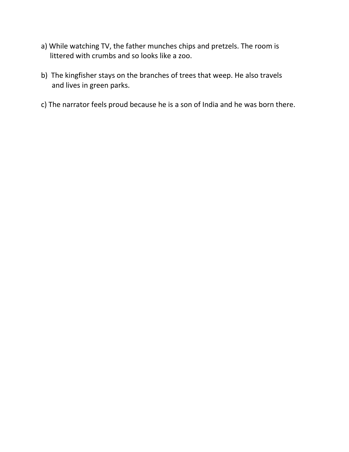- a) While watching TV, the father munches chips and pretzels. The room is littered with crumbs and so looks like a zoo.
- b) The kingfisher stays on the branches of trees that weep. He also travels and lives in green parks.
- c) The narrator feels proud because he is a son of India and he was born there.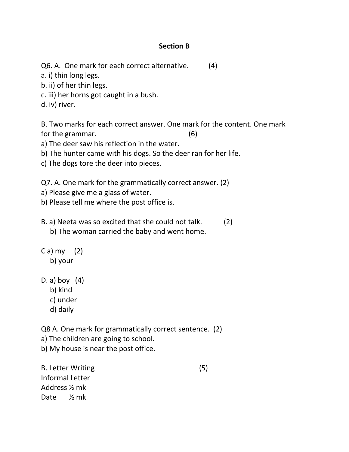#### **Section B**

Q6. A. One mark for each correct alternative. (4)

a. i) thin long legs.

b. ii) of her thin legs.

c. iii) her horns got caught in a bush.

d. iv) river.

B. Two marks for each correct answer. One mark for the content. One mark for the grammar. (6)

a) The deer saw his reflection in the water.

b) The hunter came with his dogs. So the deer ran for her life.

c) The dogs tore the deer into pieces.

Q7. A. One mark for the grammatically correct answer. (2)

a) Please give me a glass of water.

b) Please tell me where the post office is.

B. a) Neeta was so excited that she could not talk. (2)

b) The woman carried the baby and went home.

 $C$  a) my  $(2)$ b) your

D. a) boy (4)

b) kind

- c) under
- d) daily

Q8 A. One mark for grammatically correct sentence. (2)

a) The children are going to school.

b) My house is near the post office.

B. Letter Writing (5) Informal Letter Address ½ mk Date ½ mk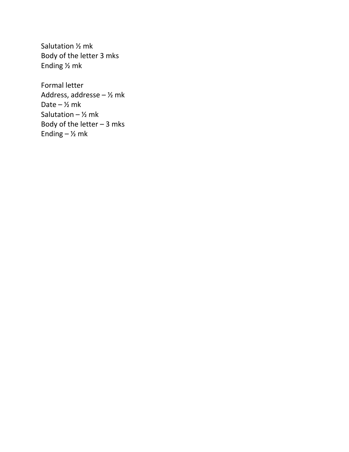Salutation ½ mk Body of the letter 3 mks Ending ½ mk

Formal letter Address, addresse –  $\frac{1}{2}$  mk Date  $\frac{1}{2}$  mk Salutation –  $\frac{1}{2}$  mk Body of the letter – 3 mks Ending  $-$  1/<sub>2</sub> mk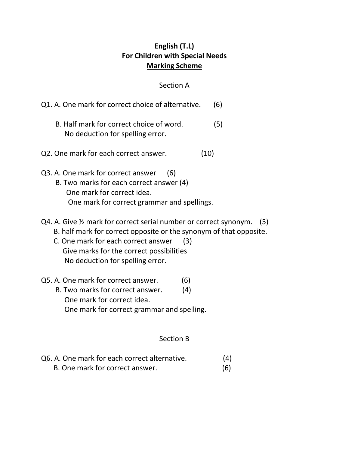# **English (T.L) For Children with Special Needs Marking Scheme**

#### Section A

| Q1. A. One mark for correct choice of alternative.                                                                                                                                                                                                                     | (6) |
|------------------------------------------------------------------------------------------------------------------------------------------------------------------------------------------------------------------------------------------------------------------------|-----|
| B. Half mark for correct choice of word.<br>No deduction for spelling error.                                                                                                                                                                                           | (5) |
| Q2. One mark for each correct answer.<br>(10)                                                                                                                                                                                                                          |     |
| Q3. A. One mark for correct answer<br>(6)<br>B. Two marks for each correct answer (4)<br>One mark for correct idea.<br>One mark for correct grammar and spellings.                                                                                                     |     |
| Q4. A. Give 1/2 mark for correct serial number or correct synonym.<br>B. half mark for correct opposite or the synonym of that opposite.<br>C. One mark for each correct answer<br>(3)<br>Give marks for the correct possibilities<br>No deduction for spelling error. | (5) |
| Q5. A. One mark for correct answer.<br>(6)                                                                                                                                                                                                                             |     |

 B. Two marks for correct answer. (4) One mark for correct idea. One mark for correct grammar and spelling.

#### Section B

| Q6. A. One mark for each correct alternative. | (4) |
|-----------------------------------------------|-----|
| B. One mark for correct answer.               | (6) |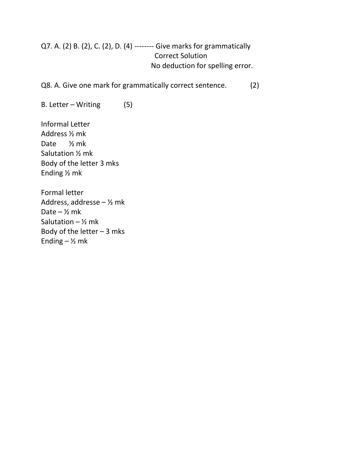# Q7. A. (2) B. (2), C. (2), D. (4) -------- Give marks for grammatically Correct Solution No deduction for spelling error.

Q8. A. Give one mark for grammatically correct sentence. (2)

B. Letter – Writing (5)

Informal Letter Address ½ mk Date ½ mk Salutation ½ mk Body of the letter 3 mks Ending ½ mk

Formal letter Address, addresse – ½ mk Date  $\frac{1}{2}$  mk Salutation –  $\frac{1}{2}$  mk Body of the letter  $-3$  mks Ending  $-$  1/<sub>2</sub> mk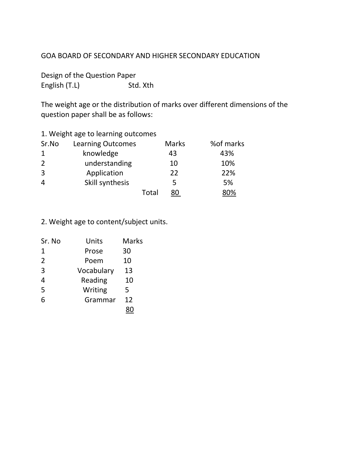#### GOA BOARD OF SECONDARY AND HIGHER SECONDARY EDUCATION

Design of the Question Paper English (T.L) Std. Xth

The weight age or the distribution of marks over different dimensions of the question paper shall be as follows:

|  | 1. Weight age to learning outcomes |  |  |
|--|------------------------------------|--|--|
|--|------------------------------------|--|--|

| Sr.No | <b>Learning Outcomes</b> |       | <b>Marks</b> | %of marks |
|-------|--------------------------|-------|--------------|-----------|
|       | knowledge                |       | 43           | 43%       |
| 2     | understanding            |       | 10           | 10%       |
| 3     | Application              |       | 22           | 22%       |
| 4     | Skill synthesis          |       | 5.           | 5%        |
|       |                          | Total | 80           | 80%       |

2. Weight age to content/subject units.

| Sr. No         | Units      | <b>Marks</b> |
|----------------|------------|--------------|
| 1              | Prose      | 30           |
| $\overline{2}$ | Poem       | 10           |
| 3              | Vocabulary | 13           |
| 4              | Reading    | 10           |
| 5              | Writing    | 5            |
| 6              | Grammar    | 12           |
|                |            |              |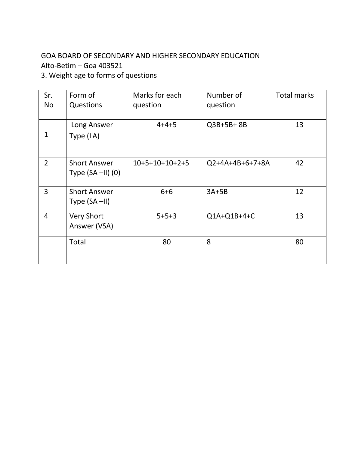# GOA BOARD OF SECONDARY AND HIGHER SECONDARY EDUCATION Alto-Betim – Goa 403521

3. Weight age to forms of questions

| Sr.<br>No      | Form of<br>Questions   | Marks for each<br>question | Number of<br>question | <b>Total marks</b> |
|----------------|------------------------|----------------------------|-----------------------|--------------------|
|                |                        |                            |                       |                    |
|                | Long Answer            | $4 + 4 + 5$                | Q3B+5B+8B             | 13                 |
| 1              | Type (LA)              |                            |                       |                    |
|                |                        |                            |                       |                    |
| $\overline{2}$ | <b>Short Answer</b>    | $10+5+10+10+2+5$           | Q2+4A+4B+6+7+8A       | 42                 |
|                | Type $(SA - II)$ $(0)$ |                            |                       |                    |
| 3              | <b>Short Answer</b>    | $6 + 6$                    | $3A+5B$               | 12                 |
|                | Type $(SA - II)$       |                            |                       |                    |
| $\overline{4}$ | <b>Very Short</b>      | $5 + 5 + 3$                | Q1A+Q1B+4+C           | 13                 |
|                | Answer (VSA)           |                            |                       |                    |
|                | Total                  | 80                         | 8                     | 80                 |
|                |                        |                            |                       |                    |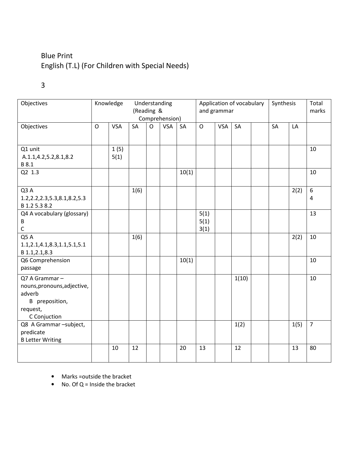# Blue Print English (T.L) (For Children with Special Needs)

# 3

| Objectives                                                                                           |         | Knowledge    | Understanding<br>(Reading &<br>Comprehension) |              | Application of vocabulary<br>and grammar |       |                      | Synthesis  |       | Total<br>marks |           |      |                       |
|------------------------------------------------------------------------------------------------------|---------|--------------|-----------------------------------------------|--------------|------------------------------------------|-------|----------------------|------------|-------|----------------|-----------|------|-----------------------|
| Objectives                                                                                           | $\circ$ | <b>VSA</b>   | <b>SA</b>                                     | $\mathsf{O}$ | <b>VSA</b>                               | SA    | $\circ$              | <b>VSA</b> | SA    |                | <b>SA</b> | LA   |                       |
| Q1 unit<br>A.1.1,4.2,5.2,8.1,8.2<br>B 8.1                                                            |         | 1(5)<br>5(1) |                                               |              |                                          |       |                      |            |       |                |           |      | 10                    |
| Q2 1.3                                                                                               |         |              |                                               |              |                                          | 10(1) |                      |            |       |                |           |      | 10                    |
| Q3 A<br>1.2, 2.2, 2.3, 5.3, 8.1, 8.2, 5.3<br>B 1.2 5.3 8.2                                           |         |              | 1(6)                                          |              |                                          |       |                      |            |       |                |           | 2(2) | $\boldsymbol{6}$<br>4 |
| Q4 A vocabulary (glossary)<br>В<br>C                                                                 |         |              |                                               |              |                                          |       | 5(1)<br>5(1)<br>3(1) |            |       |                |           |      | 13                    |
| Q5A<br>1.1,2.1,4.1,8.3,1.1,5.1,5.1<br>B 1.1, 2.1, 8.3                                                |         |              | 1(6)                                          |              |                                          |       |                      |            |       |                |           | 2(2) | 10                    |
| Q6 Comprehension<br>passage                                                                          |         |              |                                               |              |                                          | 10(1) |                      |            |       |                |           |      | 10                    |
| Q7 A Grammar-<br>nouns, pronouns, adjective,<br>adverb<br>B preposition,<br>request,<br>C Conjuction |         |              |                                               |              |                                          |       |                      |            | 1(10) |                |           |      | 10                    |
| Q8 A Grammar -subject,<br>predicate<br><b>B Letter Writing</b>                                       |         |              |                                               |              |                                          |       |                      |            | 1(2)  |                |           | 1(5) | $\overline{7}$        |
|                                                                                                      |         | 10           | 12                                            |              |                                          | 20    | 13                   |            | 12    |                |           | 13   | 80                    |

- Marks =outside the bracket
- No. Of  $Q =$  Inside the bracket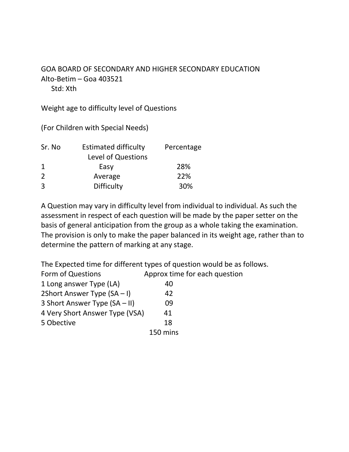#### GOA BOARD OF SECONDARY AND HIGHER SECONDARY EDUCATION Alto-Betim – Goa 403521 Std: Xth

Weight age to difficulty level of Questions

(For Children with Special Needs)

| <b>Estimated difficulty</b> | Percentage |
|-----------------------------|------------|
| Level of Questions          |            |
| Easy                        | 28%        |
| Average                     | 22%        |
| <b>Difficulty</b>           | 30%        |
|                             |            |

A Question may vary in difficulty level from individual to individual. As such the assessment in respect of each question will be made by the paper setter on the basis of general anticipation from the group as a whole taking the examination. The provision is only to make the paper balanced in its weight age, rather than to determine the pattern of marking at any stage.

The Expected time for different types of question would be as follows. Form of Questions Approx time for each question 1 Long answer Type (LA) 40 2Short Answer Type  $(SA - I)$  42 3 Short Answer Type (SA – II) 09 4 Very Short Answer Type (VSA) 41 5 Obective 18 150 mins